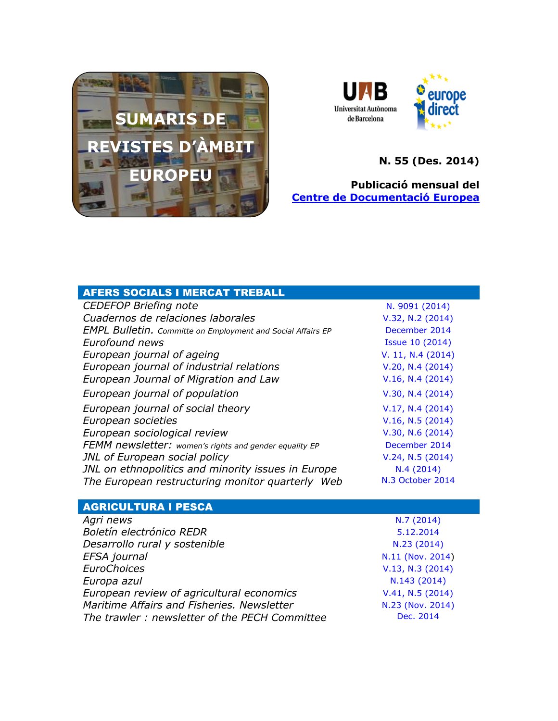





## **N. 55 (Des. 2014)**

### **Publicació mensual del [Centre de Documentació Europea](http://www.uab.cat/biblioteques/cde/)**

# AFERS SOCIALS I MERCAT TREBALL

| <b>CEDEFOP Briefing note</b>                                       | N. 9091 (2014)    |
|--------------------------------------------------------------------|-------------------|
| Cuadernos de relaciones laborales                                  | V.32, N.2 (2014)  |
| <b>EMPL Bulletin.</b> Committe on Employment and Social Affairs EP | December 2014     |
| Eurofound news                                                     | Issue 10 (2014)   |
| European journal of ageing                                         | V. 11, N.4 (2014) |
| European journal of industrial relations                           | V.20, N.4(2014)   |
| European Journal of Migration and Law                              | V.16, N.4 (2014)  |
| European journal of population                                     | V.30, N.4 (2014)  |
| European journal of social theory                                  | V.17, N.4(2014)   |
| European societies                                                 | V.16, N.5 (2014)  |
| European sociological review                                       | V.30, N.6 (2014)  |
| FEMM newsletter: women's rights and gender equality EP             | December 2014     |
| JNL of European social policy                                      | V.24, N.5 (2014)  |
| JNL on ethnopolitics and minority issues in Europe                 | N.4(2014)         |
| The European restructuring monitor quarterly Web                   | N.3 October 2014  |

# AGRICULTURA I PESCA

| Agri news                                     | N.7(2014)        |
|-----------------------------------------------|------------------|
| Boletín electrónico REDR                      | 5.12.2014        |
| Desarrollo rural y sostenible                 | N.23 (2014)      |
| EFSA journal                                  | N.11 (Nov. 2014) |
| <b>EuroChoices</b>                            | V.13, N.3 (2014) |
| Europa azul                                   | N.143 (2014)     |
| European review of agricultural economics     | V.41, N.5 (2014) |
| Maritime Affairs and Fisheries. Newsletter    | N.23 (Nov. 2014) |
| The trawler: newsletter of the PECH Committee | Dec. 2014        |
|                                               |                  |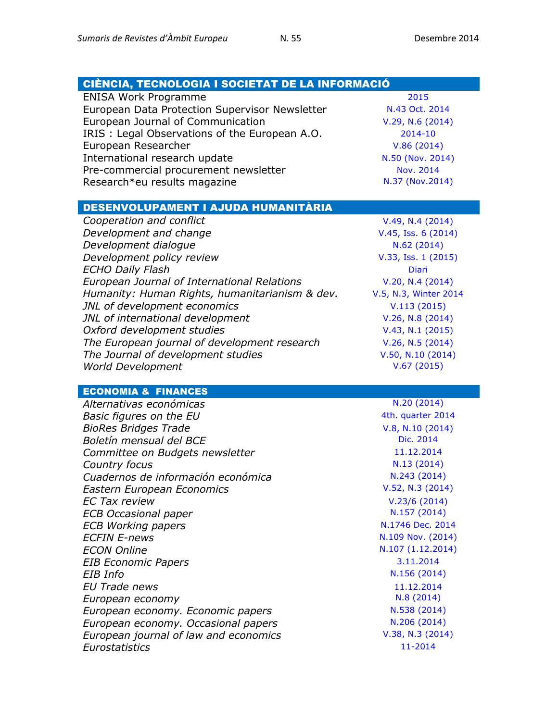| CIÈNCIA, TECNOLOGIA I SOCIETAT DE LA INFORMACIÓ |                       |  |
|-------------------------------------------------|-----------------------|--|
| <b>ENISA Work Programme</b>                     | 2015                  |  |
| European Data Protection Supervisor Newsletter  | N.43 Oct. 2014        |  |
| European Journal of Communication               | V.29, N.6 (2014)      |  |
| IRIS: Legal Observations of the European A.O.   | 2014-10               |  |
| European Researcher                             | V.86(2014)            |  |
| International research update                   | N.50 (Nov. 2014)      |  |
| Pre-commercial procurement newsletter           | Nov. 2014             |  |
| Research*eu results magazine                    | N.37 (Nov.2014)       |  |
|                                                 |                       |  |
| DESENVOLUPAMENT I AJUDA HUMANITÀRIA             |                       |  |
| Cooperation and conflict                        | V.49, N.4(2014)       |  |
| Development and change                          | V.45, Iss. 6 (2014)   |  |
| Development dialogue                            | N.62(2014)            |  |
| Development policy review                       | V.33, Iss. 1 (2015)   |  |
| <b>ECHO Daily Flash</b>                         | <b>Diari</b>          |  |
| European Journal of International Relations     | V.20, N.4(2014)       |  |
| Humanity: Human Rights, humanitarianism & dev.  | V.5, N.3, Winter 2014 |  |
| JNL of development economics                    | V.113(2015)           |  |
| JNL of international development                | V.26, N.8 (2014)      |  |
| Oxford development studies                      | V.43, N.1 (2015)      |  |
| The European journal of development research    | V.26, N.5 (2014)      |  |
| The Journal of development studies              | V.50, N.10 (2014)     |  |
| <b>World Development</b>                        | V.67(2015)            |  |
|                                                 |                       |  |

#### ECONOMIA & FINANCES

| Alternativas económicas               | N.20 (2014      |
|---------------------------------------|-----------------|
| Basic figures on the EU               | 4th. quarter 2  |
| <b>BioRes Bridges Trade</b>           | V.8, N.10(20)   |
| Boletín mensual del BCE               | Dic. 2014       |
| Committee on Budgets newsletter       | 11.12.2014      |
| Country focus                         | N.13 (2014      |
| Cuadernos de información económica    | N.243 (2014     |
| Eastern European Economics            | $V.52, N.3$ (20 |
| <b>EC Tax review</b>                  | $V.23/6$ (201   |
| <b>ECB Occasional paper</b>           | N.157 (2014     |
| <b>ECB Working papers</b>             | N.1746 Dec. 2   |
| <b>ECFIN E-news</b>                   | N.109 Nov. (2)  |
| <b>ECON Online</b>                    | N.107 (1.12.2)  |
| <b>EIB Economic Papers</b>            | 3.11.2014       |
| EIB Info                              | N.156 (2014     |
| EU Trade news                         | 11.12.2014      |
| European economy                      | N.8 (2014)      |
| European economy. Economic papers     | N.538 (2014     |
| European economy. Occasional papers   | N.206 (2014     |
| European journal of law and economics | $V.38, N.3$ (20 |
| Eurostatistics                        | 11-2014         |

*Alternativas económicas* N.20 [\(2014\)](http://alternativaseconomicas.coop/mensual) 4th. [quarter 2014](http://epp.eurostat.ec.europa.eu/portal/page/portal/product_details/publication?p_product_code=KS-GL-14-004) *BioRes Bridges Trade* [V.8, N.10](http://www.ictsd.org/bridges-news/biores/issue-archive/a-changing-climate-landscape) (2014) *Committee on Budgets newsletter* [11.12.2014](http://www.europarl.europa.eu/document/activities/cont/201412/20141210ATT95028/20141210ATT95028EN.pdf) *Country focus* N.13 [\(2014\)](http://ec.europa.eu/economy_finance/publications/country_focus/2014/cf-vol11_13_en.htm) *Cuadernos de información económica* N.243 [\(2014\)](http://www.funcas.es/publicaciones/Sumario.aspx?IdRef=3-06243) *Eastern European Economics* [V.52, N.3](http://www.scopus.com/results/results.url?sort=plf-f&src=s&imp=t&sid=4A4FCDEE1FDB15134D959326A0F7E965.N5T5nM1aaTEF8rE6yKCR3A%3a230&sot=br&sdt=a&sl=64&s=SOURCE-ID%2819458%29+AND+VOLUME%2852%29+AND+ISSUE%283%29+AND+NOT+DOCTYPE%28ip%29&txGid=4A4FCDEE1FDB15134) (2014) *EC Tax review* V.23/6 [\(2014\)](http://www.kluwerlawonline.com/toc.php?area=Journals&mode=bypub&level=5&values=Journals~~EC+Tax+Review~Volume+23+%282014%29) *ECB Occasional paper* N.157 [\(2014\)](http://www.ecb.europa.eu/pub/pdf/scpops/ecbop157.en.pdf) *ECB Working papers* [N.1746 Dec. 2014](http://www.ecb.europa.eu/pub/pdf/scpwps/ecbwp1746.en.pdf) *N.109 Nov. [\(2014\)](http://ec.europa.eu/economy_finance/enewsletter/109_141128/) ECON Online* N.107 [\(1.12.2014\)](http://www.europarl.europa.eu/document/activities/cont/201412/20141201ATT94266/20141201ATT94266EN.pdf) *EIB Info* N.156 [\(2014\)](http://www.eib.org/infocentre/publications/all/eib-information-4-2014-n156.htm) *EU Trade news* [11.12.2014](http://trade.ec.europa.eu/eutn/psendmessage.htm?tranid=10209) *European economy* N.8 [\(2014\)](http://ec.europa.eu/economy_finance/publications/european_economy/2014/ee8_en.htm) *European economy. Economic papers* N.538 [\(2014\)](http://ec.europa.eu/economy_finance/publications/economic_paper/2014/ecp538_en.htm) *European economy. Occasional papers* N.206 [\(2014\)](http://ec.europa.eu/economy_finance/publications/occasional_paper/2014/op206_en.htm) *European journal of law and economics* [V.38, N.3](http://link.springer.com/journal/10657/38/3/page/1) (2014)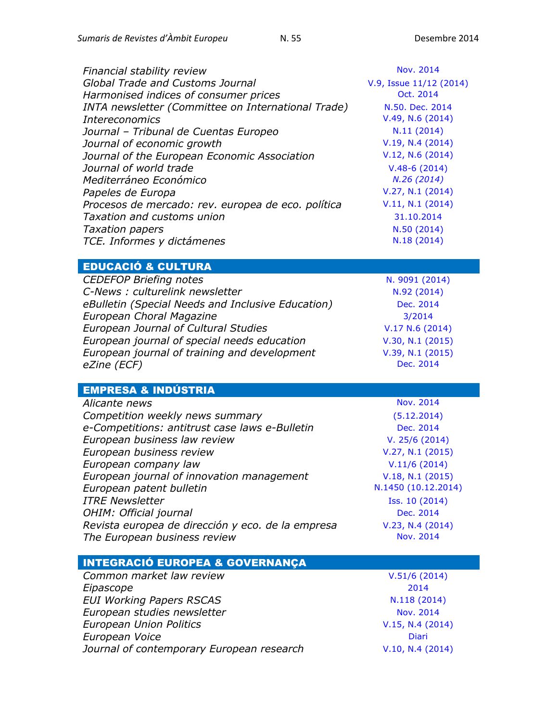| Financial stability review                         | Nov. 2014               |
|----------------------------------------------------|-------------------------|
| Global Trade and Customs Journal                   | V.9, Issue 11/12 (2014) |
| Harmonised indices of consumer prices              | Oct. 2014               |
| INTA newsletter (Committee on International Trade) | N.50, Dec. 2014         |
| <b>Intereconomics</b>                              | V.49, N.6(2014)         |
| Journal - Tribunal de Cuentas Europeo              | N.11(2014)              |
| Journal of economic growth                         | V.19, N.4(2014)         |
| Journal of the European Economic Association       | V.12, N.6(2014)         |
| Journal of world trade                             | $V.48-6(2014)$          |
| Mediterráneo Económico                             | N.26(2014)              |
| Papeles de Europa                                  | V.27, N.1 (2014)        |
| Procesos de mercado: rev. europea de eco. política | V.11, N.1 (2014)        |
| Taxation and customs union                         | 31.10.2014              |
| <b>Taxation papers</b>                             | N.50 (2014)             |
| TCE. Informes y dictámenes                         | N.18 (2014)             |
|                                                    |                         |

#### EDUCACIÓ & CULTURA

| <b>CEDEFOP Briefing notes</b>                     | N. 9091 (2014)   |
|---------------------------------------------------|------------------|
| C-News : culturelink newsletter                   | N.92 (2014)      |
| eBulletin (Special Needs and Inclusive Education) | Dec. 2014        |
| European Choral Magazine                          | 3/2014           |
| European Journal of Cultural Studies              | V.17 N.6 (2014)  |
| European journal of special needs education       | V.30, N.1 (2015) |
| European journal of training and development      | V.39, N.1 (2015) |
| eZine (ECF)                                       | Dec. 2014        |
|                                                   |                  |

EMPRESA & INDÚSTRIA *Alicante news* Nov. [2014](https://oami.europa.eu/tunnel-web/secure/webdav/guest/document_library/contentPdfs/about_ohim/alicante_news/alicantenewsNovember2014_en.pdf) *Competition weekly news summary* [\(5.12.2014\)](http://ec.europa.eu/competition/publications/weekly_news_summary/2014_12_05.html) *e-Competitions: antitrust case laws e-Bulletin* [Dec. 2014](http://www.concurrences.com/Bulletin/?lang=fr) *European business law review* V. 25/6 [\(2014\)](http://www.kluwerlawonline.com/toc.php?area=Journals&mode=bypub&level=5&values=Journals~~European+Business+Law+Review~Volume+25+%282014%29) *European business review*  $V.27, N.1 (2015)$  $V.27, N.1 (2015)$ *European company law*  $V.11/6$  [\(2014\)](http://www.kluwerlawonline.com/toc.php?area=Journals&mode=bypub&level=5&values=Journals~~European+Company+Law~Volume+11+%282014%29) *European journal of innovation management* [V.18, N.1](http://www.emeraldinsight.com/toc/ejim/18/1) (2015) *European patent bulletin*  $N.1450 (10.12.2014)$  $N.1450 (10.12.2014)$ *ITRE Newsletter* **ISS.** [10 \(2014\)](http://www.europarl.europa.eu/document/activities/cont/201412/20141205ATT94666/20141205ATT94666EN.pdf) *OHIM: Official journal* **Dec. [2014](https://oami.europa.eu/ohimportal/en/official-journal)** *Revista europea de dirección y eco. de la empresa* [V.23, N.4](http://dialnet.unirioja.es/servlet/revista?codigo=1231) (2014) *The European business review* Mov. [2014](http://www.europeanbusinessreview.com/?m=201411)

## INTEGRACIÓ EUROPEA & GOVERNANÇA

| Common market law review                  | V.51/6(2014)     |
|-------------------------------------------|------------------|
| Eipascope                                 | 2014             |
| <b>EUI Working Papers RSCAS</b>           | N.118 (2014)     |
| European studies newsletter               | Nov. 2014        |
| <b>European Union Politics</b>            | V.15, N.4 (2014) |
| European Voice                            | <b>Diari</b>     |
| Journal of contemporary European research | V.10, N.4 (2014) |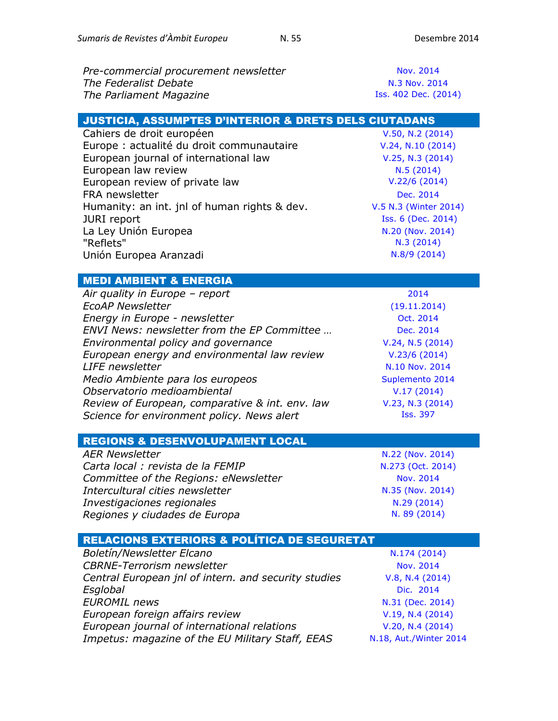*[N.22 \(Nov.](http://www.aer.eu/en/publications/newsletter/2014/aer-newsletter-n22-112014.html) 2014) [N.273 \(Oct.](http://www.cartalocal.es/CartaLocal/Front/Version_impresa/VersionImpresa/_sYcniRvuy5l6V01YGndaV-cAGscjLgHzTctnxCyoPfk) 2014) Committee of the Regions: eNewsletter* [Nov. 2014](http://cor.europa.eu/en/news/Pages/enewsletter.aspx) *[N.35 \(Nov.](http://www.coe.int/t/dg4/cultureheritage/culture/Cities/Newsletter/newsletter35/newsletter35_en.asp) 2014) Investigaciones regionales* N.29 [\(2014\)](http://www.investigacionesregionales.org/N%C2%BA%2029%20-%20Monogr%C3%A1fico%202014-8532-articleList) *Regiones y ciudades de Europa* N. 89 [\(2014\)](http://cor.europa.eu/es/news/regions-and-cities-of-europe/Pages/regions-and-cities-89-2014.aspx)

| Pre-commercial procurement newsletter | Nov. 2014            |
|---------------------------------------|----------------------|
| The Federalist Debate                 | N.3 Nov. 2014        |
| The Parliament Magazine               | Iss. 402 Dec. (2014) |

| <b>JUSTICIA, ASSUMPTES D'INTERIOR &amp; DRETS DELS CIUTADANS</b> |                       |  |
|------------------------------------------------------------------|-----------------------|--|
| Cahiers de droit européen                                        | V.50, N.2 (2014)      |  |
| Europe : actualité du droit communautaire                        | V.24, N.10 (2014)     |  |
| European journal of international law                            | V.25, N.3 (2014)      |  |
| European law review                                              | N.5(2014)             |  |
| European review of private law                                   | V.22/6(2014)          |  |
| <b>FRA</b> newsletter                                            | Dec. 2014             |  |
| Humanity: an int. jnl of human rights & dev.                     | V.5 N.3 (Winter 2014) |  |
| JURI report                                                      | Iss. 6 (Dec. 2014)    |  |
| La Ley Unión Europea                                             | N.20 (Nov. 2014)      |  |
| "Reflets"                                                        | N.3(2014)             |  |
| Unión Europea Aranzadi                                           | N.8/9 (2014)          |  |

## MEDI AMBIENT & ENERGIA

| Air quality in Europe - report                  | 2014             |
|-------------------------------------------------|------------------|
| <b>EcoAP Newsletter</b>                         | (19.11.2014)     |
| Energy in Europe - newsletter                   | Oct. 2014        |
| ENVI News: newsletter from the EP Committee     | Dec. 2014        |
| Environmental policy and governance             | V.24, N.5 (2014) |
| European energy and environmental law review    | V.23/6(2014)     |
| <b>LIFE</b> newsletter                          | N.10 Nov. 2014   |
| Medio Ambiente para los europeos                | Suplemento 2014  |
| Observatorio medioambiental                     | V.17(2014)       |
| Review of European, comparative & int. env. law | V.23, N.3 (2014) |
| Science for environment policy. News alert      | <b>Iss. 397</b>  |
|                                                 |                  |

### REGIONS & DESENVOLUPAMENT LOCAL

| <b>AER Newsletter</b>                 |  |
|---------------------------------------|--|
| Carta local : revista de la FEMIP     |  |
| Committee of the Regions: eNewsletter |  |
| Intercultural cities newsletter       |  |
| Investigaciones regionales            |  |
| Regiones y ciudades de Europa         |  |

| <b>RELACIONS EXTERIORS &amp; POLÍTICA DE SEGURETAT</b> |                        |  |
|--------------------------------------------------------|------------------------|--|
| Boletín/Newsletter Elcano                              | N.174 (2014)           |  |
| <b>CBRNE-Terrorism newsletter</b>                      | Nov. 2014              |  |
| Central European jnl of intern. and security studies   | V.8, N.4 (2014)        |  |
| Esglobal                                               | Dic. 2014              |  |
| <b>EUROMIL news</b>                                    | N.31 (Dec. 2014)       |  |
| European foreign affairs review                        | V.19, N.4 (2014)       |  |
| European journal of international relations            | V.20, N.4(2014)        |  |
| Impetus: magazine of the EU Military Staff, EEAS       | N.18, Aut./Winter 2014 |  |